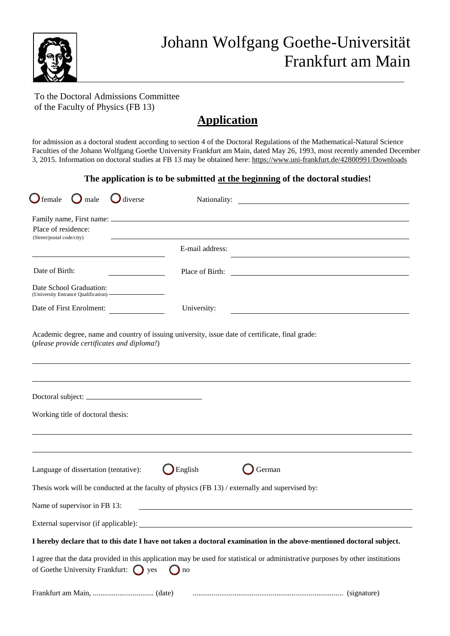

## To the Doctoral Admissions Committee of the Faculty of Physics (FB 13)

# **Application**

for admission as a doctoral student according to section 4 of the Doctoral Regulations of the Mathematical-Natural Science Faculties of the Johann Wolfgang Goethe University Frankfurt am Main, dated May 26, 1993, most recently amended December 3, 2015. Information on doctoral studies at FB 13 may be obtained here[: https://www.uni-frankfurt.de/42800991/Downloads](http://www.uni-frankfurt.de/42800991/Downloads)

## **The application is to be submitted at the beginning of the doctoral studies!**

| $\bigcup$ female<br>$\bigcirc$ male<br>$\bigcup$ diverse                                        |                 |                                                                                                                                 |
|-------------------------------------------------------------------------------------------------|-----------------|---------------------------------------------------------------------------------------------------------------------------------|
| Place of residence:                                                                             |                 |                                                                                                                                 |
| (Street/postal code/city)                                                                       |                 | <u> 1989 - Johann John Stone, markin sanadi amerikan bahasa dalam bahasa dalam bahasa dalam bahasa dalam bahasa d</u>           |
|                                                                                                 | E-mail address: |                                                                                                                                 |
| Date of Birth:<br><u> The Common State of the Common State of</u>                               |                 |                                                                                                                                 |
| Date School Graduation:<br>(University Entrance Qualification)                                  |                 |                                                                                                                                 |
| Date of First Enrolment:                                                                        | University:     | <u> 1989 - Johann Barn, mars ann an t-Amhain Aonaichte ann an t-Aonaichte ann an t-Aonaichte ann an t-Aonaichte a</u>           |
|                                                                                                 |                 |                                                                                                                                 |
|                                                                                                 |                 |                                                                                                                                 |
|                                                                                                 |                 |                                                                                                                                 |
| Working title of doctoral thesis:                                                               |                 |                                                                                                                                 |
|                                                                                                 |                 |                                                                                                                                 |
| Language of dissertation (tentative):                                                           | English         | German                                                                                                                          |
| Thesis work will be conducted at the faculty of physics (FB 13) / externally and supervised by: |                 |                                                                                                                                 |
| Name of supervisor in FB 13:                                                                    |                 |                                                                                                                                 |
|                                                                                                 |                 |                                                                                                                                 |
|                                                                                                 |                 | I hereby declare that to this date I have not taken a doctoral examination in the above-mentioned doctoral subject.             |
| of Goethe University Frankfurt: $\bigcap$ yes                                                   | no              | I agree that the data provided in this application may be used for statistical or administrative purposes by other institutions |
|                                                                                                 |                 |                                                                                                                                 |